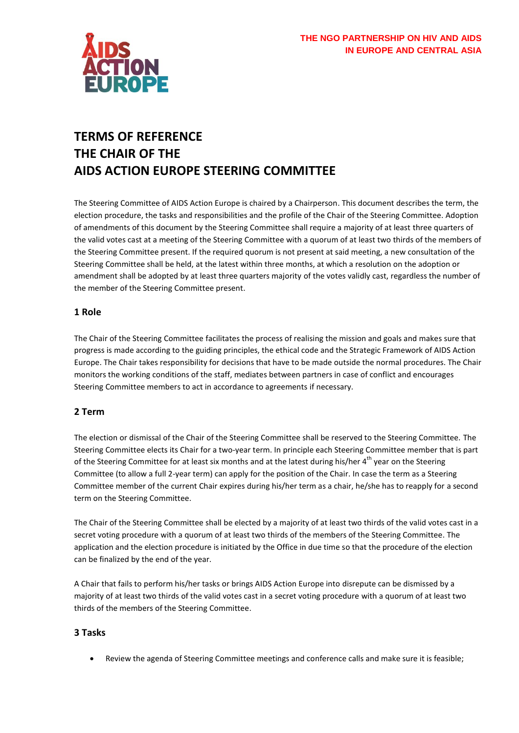

# **TERMS OF REFERENCE THE CHAIR OF THE AIDS ACTION EUROPE STEERING COMMITTEE**

The Steering Committee of AIDS Action Europe is chaired by a Chairperson. This document describes the term, the election procedure, the tasks and responsibilities and the profile of the Chair of the Steering Committee. Adoption of amendments of this document by the Steering Committee shall require a majority of at least three quarters of the valid votes cast at a meeting of the Steering Committee with a quorum of at least two thirds of the members of the Steering Committee present. If the required quorum is not present at said meeting, a new consultation of the Steering Committee shall be held, at the latest within three months, at which a resolution on the adoption or amendment shall be adopted by at least three quarters majority of the votes validly cast, regardless the number of the member of the Steering Committee present.

## **1 Role**

The Chair of the Steering Committee facilitates the process of realising the mission and goals and makes sure that progress is made according to the guiding principles, the ethical code and the Strategic Framework of AIDS Action Europe. The Chair takes responsibility for decisions that have to be made outside the normal procedures. The Chair monitors the working conditions of the staff, mediates between partners in case of conflict and encourages Steering Committee members to act in accordance to agreements if necessary.

### **2 Term**

The election or dismissal of the Chair of the Steering Committee shall be reserved to the Steering Committee. The Steering Committee elects its Chair for a two-year term. In principle each Steering Committee member that is part of the Steering Committee for at least six months and at the latest during his/her  $4<sup>th</sup>$  year on the Steering Committee (to allow a full 2-year term) can apply for the position of the Chair. In case the term as a Steering Committee member of the current Chair expires during his/her term as a chair, he/she has to reapply for a second term on the Steering Committee.

The Chair of the Steering Committee shall be elected by a majority of at least two thirds of the valid votes cast in a secret voting procedure with a quorum of at least two thirds of the members of the Steering Committee. The application and the election procedure is initiated by the Office in due time so that the procedure of the election can be finalized by the end of the year.

A Chair that fails to perform his/her tasks or brings AIDS Action Europe into disrepute can be dismissed by a majority of at least two thirds of the valid votes cast in a secret voting procedure with a quorum of at least two thirds of the members of the Steering Committee.

### **3 Tasks**

Review the agenda of Steering Committee meetings and conference calls and make sure it is feasible;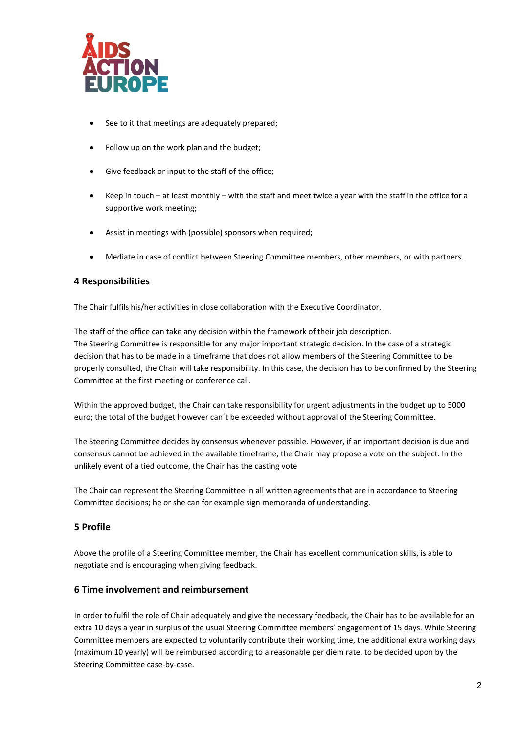

- See to it that meetings are adequately prepared;
- Follow up on the work plan and the budget;
- Give feedback or input to the staff of the office;
- Keep in touch at least monthly with the staff and meet twice a year with the staff in the office for a supportive work meeting;
- Assist in meetings with (possible) sponsors when required;
- Mediate in case of conflict between Steering Committee members, other members, or with partners.

### **4 Responsibilities**

The Chair fulfils his/her activities in close collaboration with the Executive Coordinator.

The staff of the office can take any decision within the framework of their job description. The Steering Committee is responsible for any major important strategic decision. In the case of a strategic decision that has to be made in a timeframe that does not allow members of the Steering Committee to be properly consulted, the Chair will take responsibility. In this case, the decision has to be confirmed by the Steering Committee at the first meeting or conference call.

Within the approved budget, the Chair can take responsibility for urgent adjustments in the budget up to 5000 euro; the total of the budget however can´t be exceeded without approval of the Steering Committee.

The Steering Committee decides by consensus whenever possible. However, if an important decision is due and consensus cannot be achieved in the available timeframe, the Chair may propose a vote on the subject. In the unlikely event of a tied outcome, the Chair has the casting vote

The Chair can represent the Steering Committee in all written agreements that are in accordance to Steering Committee decisions; he or she can for example sign memoranda of understanding.

### **5 Profile**

Above the profile of a Steering Committee member, the Chair has excellent communication skills, is able to negotiate and is encouraging when giving feedback.

#### **6 Time involvement and reimbursement**

In order to fulfil the role of Chair adequately and give the necessary feedback, the Chair has to be available for an extra 10 days a year in surplus of the usual Steering Committee members' engagement of 15 days. While Steering Committee members are expected to voluntarily contribute their working time, the additional extra working days (maximum 10 yearly) will be reimbursed according to a reasonable per diem rate, to be decided upon by the Steering Committee case-by-case.